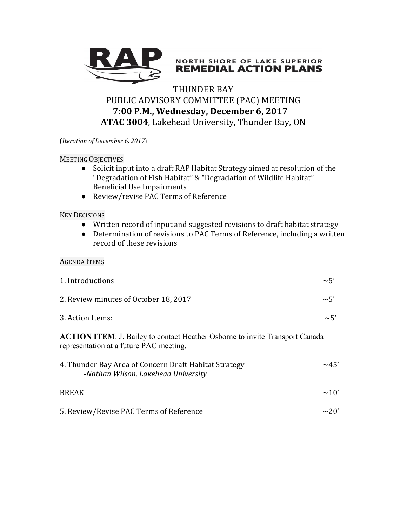

## **NORTH SHORE OF LAKE SUPERIOR REMEDIAL ACTION PLANS**

## THUNDER BAY PUBLIC ADVISORY COMMITTEE (PAC) MEETING **7:00 P.M., Wednesday, December 6, 2017 ATAC 3004**, Lakehead University, Thunder Bay, ON

(*Iteration of December 6, 2017*)

**MEETING OBJECTIVES** 

- Solicit input into a draft RAP Habitat Strategy aimed at resolution of the "Degradation of Fish Habitat" & "Degradation of Wildlife Habitat" Beneficial Use Impairments
- Review/revise PAC Terms of Reference

## **KEY DECISIONS**

- Written record of input and suggested revisions to draft habitat strategy
- Determination of revisions to PAC Terms of Reference, including a written record of these revisions

**AGENDA ITEMS** 

| 1. Introductions                                                                    | $\sim$ 5' |
|-------------------------------------------------------------------------------------|-----------|
| 2. Review minutes of October 18, 2017                                               | $\sim$ 5' |
| 3. Action Items:                                                                    | $\sim$ 5' |
| <b>ACTION ITEM</b> : J Bailey to contact Heather Osborne to invite Transport Canada |           |

**ACTION ITEM**: J. Bailey to contact Heather Osborne to invite Transport Canada representation at a future PAC meeting.

| 4. Thunder Bay Area of Concern Draft Habitat Strategy | $\sim$ 45'  |
|-------------------------------------------------------|-------------|
| -Nathan Wilson, Lakehead University                   |             |
| <b>BREAK</b>                                          | $\sim$ 10'  |
| 5. Review/Revise PAC Terms of Reference               | $\sim$ 2.0' |